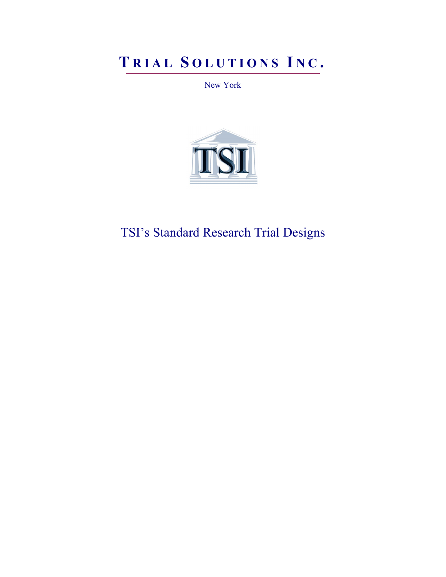# **T RIAL S OLUTIONS I N C .**

New York



TSI's Standard Research Trial Designs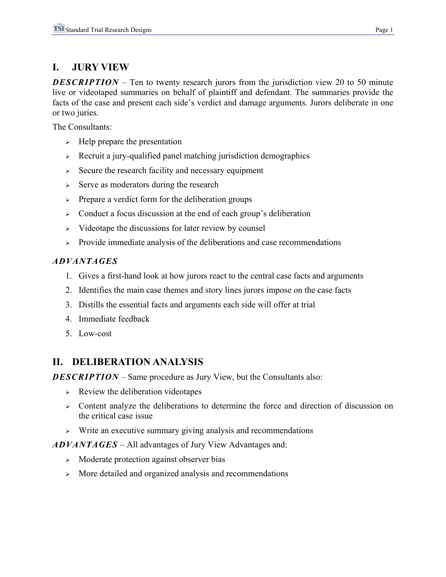# **I. JURY VIEW**

*DESCRIPTION* – Ten to twenty research jurors from the jurisdiction view 20 to 50 minute live or videotaped summaries on behalf of plaintiff and defendant. The summaries provide the facts of the case and present each side's verdict and damage arguments. Jurors deliberate in one or two juries.

The Consultants:

- $\triangleright$  Help prepare the presentation
- $\triangleright$  Recruit a jury-qualified panel matching jurisdiction demographics
- $\geq$  Secure the research facility and necessary equipment
- $\geq$  Serve as moderators during the research
- <sup>¾</sup> Prepare a verdict form for the deliberation groups
- $\geq$  Conduct a focus discussion at the end of each group's deliberation
- <sup>¾</sup> Videotape the discussions for later review by counsel
- $\triangleright$  Provide immediate analysis of the deliberations and case recommendations

#### *ADVANTAGES*

- 1. Gives a first-hand look at how jurors react to the central case facts and arguments
- 2. Identifies the main case themes and story lines jurors impose on the case facts
- 3. Distills the essential facts and arguments each side will offer at trial
- 4. Immediate feedback
- 5. Low-cost

# **II. DELIBERATION ANALYSIS**

*DESCRIPTION* – Same procedure as Jury View, but the Consultants also:

- $\triangleright$  Review the deliberation videotapes
- $\triangleright$  Content analyze the deliberations to determine the force and direction of discussion on the critical case issue
- <sup>¾</sup> Write an executive summary giving analysis and recommendations

*ADVANTAGES* – All advantages of Jury View Advantages and:

- <sup>¾</sup> Moderate protection against observer bias
- <sup>¾</sup> More detailed and organized analysis and recommendations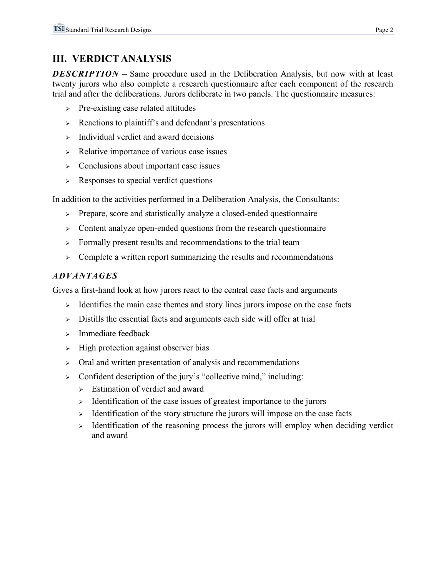# **III. VERDICT ANALYSIS**

*DESCRIPTION* – Same procedure used in the Deliberation Analysis, but now with at least twenty jurors who also complete a research questionnaire after each component of the research trial and after the deliberations. Jurors deliberate in two panels. The questionnaire measures:

- $\triangleright$  Pre-existing case related attitudes
- $\triangleright$  Reactions to plaintiff's and defendant's presentations
- $\triangleright$  Individual verdict and award decisions
- $\triangleright$  Relative importance of various case issues
- <sup>¾</sup> Conclusions about important case issues
- $\triangleright$  Responses to special verdict questions

In addition to the activities performed in a Deliberation Analysis, the Consultants:

- <sup>¾</sup> Prepare, score and statistically analyze a closed-ended questionnaire
- $\triangleright$  Content analyze open-ended questions from the research questionnaire
- <sup>¾</sup> Formally present results and recommendations to the trial team
- $\geq$  Complete a written report summarizing the results and recommendations

#### *ADVANTAGES*

Gives a first-hand look at how jurors react to the central case facts and arguments

- $\triangleright$  Identifies the main case themes and story lines jurors impose on the case facts
- <sup>¾</sup> Distills the essential facts and arguments each side will offer at trial
- $\triangleright$  Immediate feedback
- $\rightarrow$  High protection against observer bias
- <sup>¾</sup> Oral and written presentation of analysis and recommendations
- $\geq$  Confident description of the jury's "collective mind," including:
	- $\triangleright$  Estimation of verdict and award
	- $\geq$  Identification of the case issues of greatest importance to the jurors
	- $\geq$  Identification of the story structure the jurors will impose on the case facts
	- $\triangleright$  Identification of the reasoning process the jurors will employ when deciding verdict and award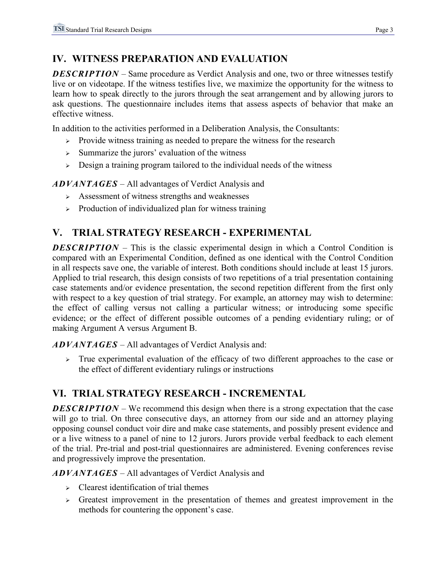# **IV. WITNESS PREPARATION AND EVALUATION**

*DESCRIPTION* – Same procedure as Verdict Analysis and one, two or three witnesses testify live or on videotape. If the witness testifies live, we maximize the opportunity for the witness to learn how to speak directly to the jurors through the seat arrangement and by allowing jurors to ask questions. The questionnaire includes items that assess aspects of behavior that make an effective witness.

In addition to the activities performed in a Deliberation Analysis, the Consultants:

- $\triangleright$  Provide witness training as needed to prepare the witness for the research
- $\geq$  Summarize the jurors' evaluation of the witness
- $\geq$  Design a training program tailored to the individual needs of the witness

*ADVANTAGES* – All advantages of Verdict Analysis and

- $\geq$  Assessment of witness strengths and weaknesses
- $\triangleright$  Production of individualized plan for witness training

# **V. TRIAL STRATEGY RESEARCH - EXPERIMENTAL**

*DESCRIPTION* – This is the classic experimental design in which a Control Condition is compared with an Experimental Condition, defined as one identical with the Control Condition in all respects save one, the variable of interest. Both conditions should include at least 15 jurors. Applied to trial research, this design consists of two repetitions of a trial presentation containing case statements and/or evidence presentation, the second repetition different from the first only with respect to a key question of trial strategy. For example, an attorney may wish to determine: the effect of calling versus not calling a particular witness; or introducing some specific evidence; or the effect of different possible outcomes of a pending evidentiary ruling; or of making Argument A versus Argument B.

*ADVANTAGES* – All advantages of Verdict Analysis and:

 $\geq$  True experimental evaluation of the efficacy of two different approaches to the case or the effect of different evidentiary rulings or instructions

# **VI. TRIAL STRATEGY RESEARCH - INCREMENTAL**

*DESCRIPTION* – We recommend this design when there is a strong expectation that the case will go to trial. On three consecutive days, an attorney from our side and an attorney playing opposing counsel conduct voir dire and make case statements, and possibly present evidence and or a live witness to a panel of nine to 12 jurors. Jurors provide verbal feedback to each element of the trial. Pre-trial and post-trial questionnaires are administered. Evening conferences revise and progressively improve the presentation.

*ADVANTAGES* – All advantages of Verdict Analysis and

- $\triangleright$  Clearest identification of trial themes
- $\triangleright$  Greatest improvement in the presentation of themes and greatest improvement in the methods for countering the opponent's case.